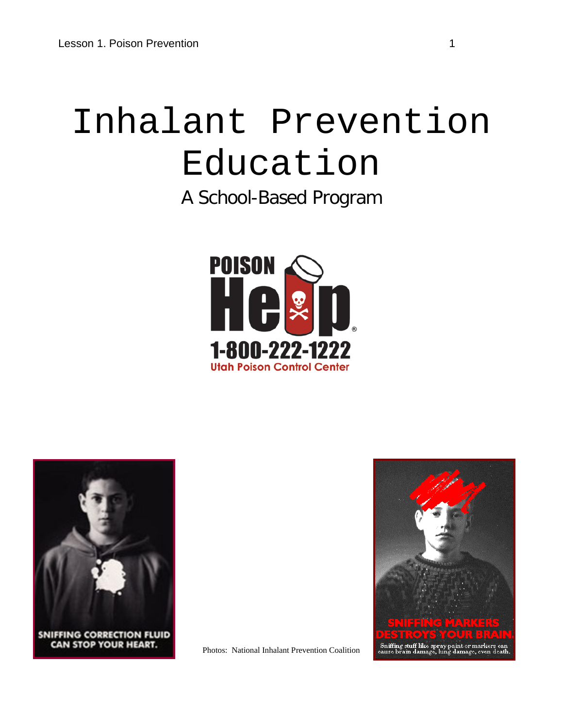# Inhalant Prevention Education

A School-Based Program





CAN STOP YOUR HEART.



Photos: National Inhalant Prevention Coalition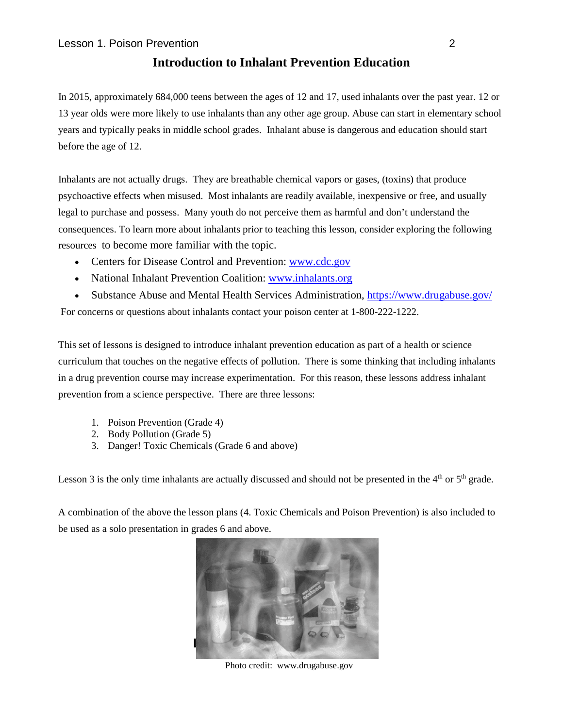#### **Introduction to Inhalant Prevention Education**

In 2015, approximately 684,000 teens between the ages of 12 and 17, used inhalants over the past year. 12 or 13 year olds were more likely to use inhalants than any other age group. Abuse can start in elementary school years and typically peaks in middle school grades. Inhalant abuse is dangerous and education should start before the age of 12.

Inhalants are not actually drugs. They are breathable chemical vapors or gases, (toxins) that produce psychoactive effects when misused. Most inhalants are readily available, inexpensive or free, and usually legal to purchase and possess. Many youth do not perceive them as harmful and don't understand the consequences. To learn more about inhalants prior to teaching this lesson, consider exploring the following resources to become more familiar with the topic.

- Centers for Disease Control and Prevention: [www.cdc.gov](http://www.cdc.gov/)
- National Inhalant Prevention Coalition: [www.inhalants.org](http://www.inhalants.org/)
- Substance Abuse and Mental Health Services Administration,<https://www.drugabuse.gov/>

For concerns or questions about inhalants contact your poison center at 1-800-222-1222.

This set of lessons is designed to introduce inhalant prevention education as part of a health or science curriculum that touches on the negative effects of pollution. There is some thinking that including inhalants in a drug prevention course may increase experimentation. For this reason, these lessons address inhalant prevention from a science perspective. There are three lessons:

- 1. Poison Prevention (Grade 4)
- 2. Body Pollution (Grade 5)
- 3. Danger! Toxic Chemicals (Grade 6 and above)

Lesson 3 is the only time inhalants are actually discussed and should not be presented in the  $4<sup>th</sup>$  or  $5<sup>th</sup>$  grade.

A combination of the above the lesson plans (4. Toxic Chemicals and Poison Prevention) is also included to be used as a solo presentation in grades 6 and above.



Photo credit: www.drugabuse.gov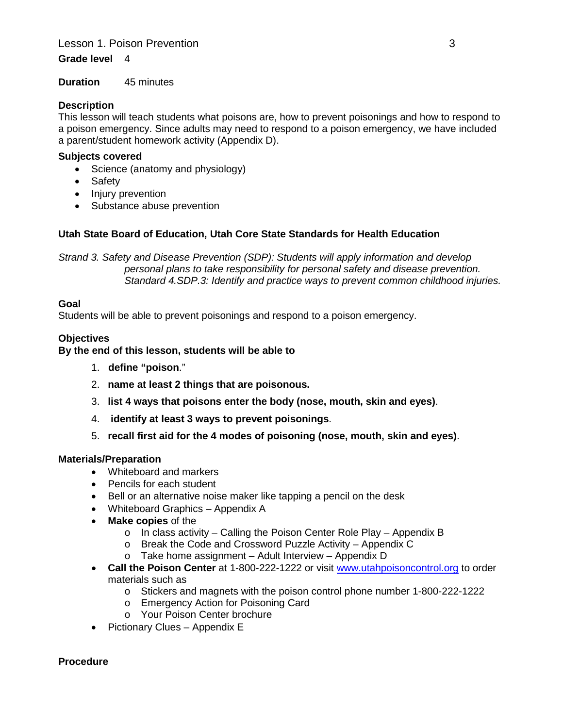#### **Lesson 1. Poison Prevention 3. All and 3. All and 3. All and 3. All and 3. All and 3. All and 3. All and 3. All and 3. All and 3. All and 3. All and 3. All and 3. All and 3. All and 3. All and 3. All and 3. All and 3. All**

#### **Grade level** 4

**Duration** 45 minutes

#### **Description**

This lesson will teach students what poisons are, how to prevent poisonings and how to respond to a poison emergency. Since adults may need to respond to a poison emergency, we have included a parent/student homework activity (Appendix D).

#### **Subjects covered**

- Science (anatomy and physiology)
- **Safety**
- Injury prevention
- Substance abuse prevention

#### **Utah State Board of Education, Utah Core State Standards for Health Education**

*Strand 3. Safety and Disease Prevention (SDP): Students will apply information and develop personal plans to take responsibility for personal safety and disease prevention. Standard 4.SDP.3: Identify and practice ways to prevent common childhood injuries.* 

#### **Goal**

Students will be able to prevent poisonings and respond to a poison emergency.

#### **Objectives**

#### **By the end of this lesson, students will be able to**

- 1. **define "poison**."
- 2. **name at least 2 things that are poisonous.**
- 3. **list 4 ways that poisons enter the body (nose, mouth, skin and eyes)**.
- 4. **identify at least 3 ways to prevent poisonings**.
- 5. **recall first aid for the 4 modes of poisoning (nose, mouth, skin and eyes)**.

#### **Materials/Preparation**

- Whiteboard and markers
- Pencils for each student
- Bell or an alternative noise maker like tapping a pencil on the desk
- Whiteboard Graphics Appendix A
- **Make copies** of the
	- o In class activity Calling the Poison Center Role Play Appendix B
	- o Break the Code and Crossword Puzzle Activity Appendix C
	- o Take home assignment Adult Interview Appendix D
- **Call the Poison Center** at 1-800-222-1222 or visit [www.utahpoisoncontrol.org](http://www.utahpoisoncontrol.org/) to order materials such as
	- o Stickers and magnets with the poison control phone number 1-800-222-1222
	- o Emergency Action for Poisoning Card
	- o Your Poison Center brochure
- Pictionary Clues Appendix E

#### **Procedure**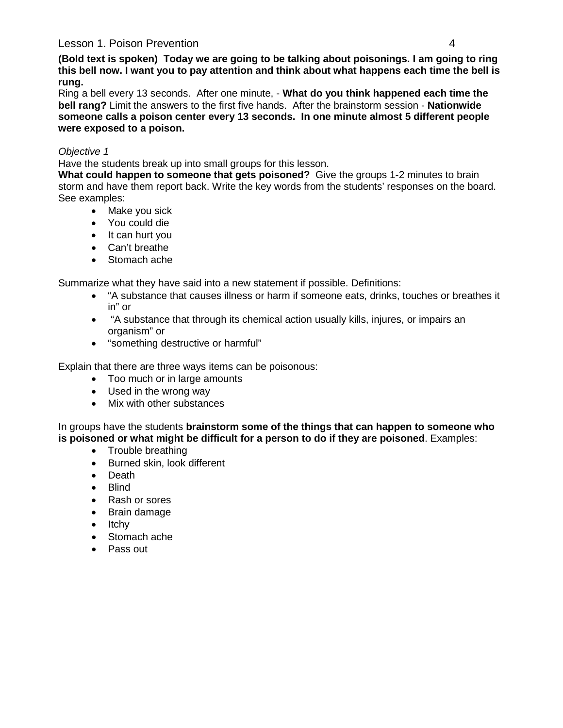#### Lesson 1. Poison Prevention 4

**(Bold text is spoken) Today we are going to be talking about poisonings. I am going to ring this bell now. I want you to pay attention and think about what happens each time the bell is rung.**

Ring a bell every 13 seconds. After one minute, - **What do you think happened each time the bell rang?** Limit the answers to the first five hands. After the brainstorm session - **Nationwide someone calls a poison center every 13 seconds. In one minute almost 5 different people were exposed to a poison.**

#### *Objective 1*

Have the students break up into small groups for this lesson.

**What could happen to someone that gets poisoned?** Give the groups 1-2 minutes to brain storm and have them report back. Write the key words from the students' responses on the board. See examples:

- Make you sick
- You could die
- It can hurt you
- Can't breathe
- Stomach ache

Summarize what they have said into a new statement if possible. Definitions:

- "A substance that causes illness or harm if someone eats, drinks, touches or breathes it in" or
- "A substance that through its chemical action usually kills, injures, or impairs an organism" or
- "something destructive or harmful"

Explain that there are three ways items can be poisonous:

- Too much or in large amounts
- Used in the wrong way
- Mix with other substances

In groups have the students **brainstorm some of the things that can happen to someone who is poisoned or what might be difficult for a person to do if they are poisoned**. Examples:

- Trouble breathing
- Burned skin, look different
- Death
- Blind
- Rash or sores
- Brain damage
- Itchy
- Stomach ache
- Pass out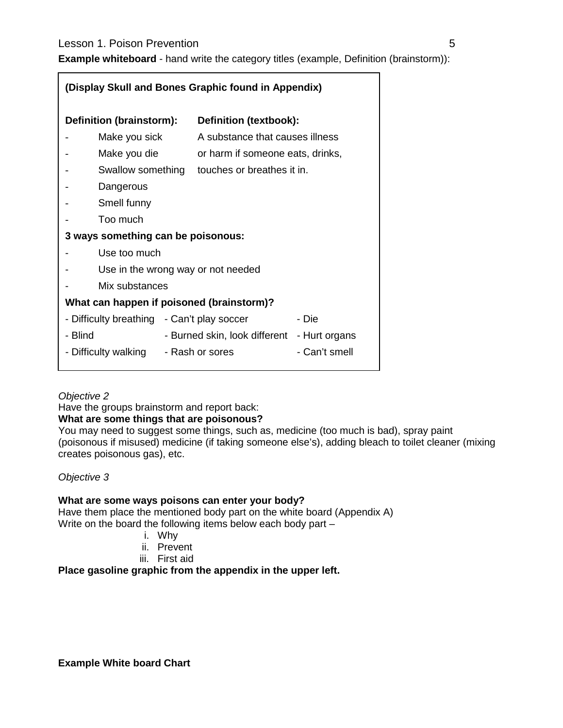#### **Lesson 1. Poison Prevention 6 and 7 and 7 and 7 and 7 and 7 and 7 and 7 and 7 and 7 and 7 and 7 and 7 and 7 and 7 and 7 and 7 and 7 and 7 and 7 and 7 and 7 and 7 and 7 and 7 and 7 and 7 and 7 and 7 and 7 and 7 and 7 and 7**

**Example whiteboard** - hand write the category titles (example, Definition (brainstorm)):

| (Display Skull and Bones Graphic found in Appendix) |              |                                             |               |  |  |
|-----------------------------------------------------|--------------|---------------------------------------------|---------------|--|--|
| Definition (brainstorm):                            |              | Definition (textbook):                      |               |  |  |
| Make you sick                                       |              | A substance that causes illness             |               |  |  |
| Make you die                                        |              | or harm if someone eats, drinks,            |               |  |  |
| Swallow something                                   |              | touches or breathes it in.                  |               |  |  |
| Dangerous                                           |              |                                             |               |  |  |
| Smell funny                                         |              |                                             |               |  |  |
| Too much                                            |              |                                             |               |  |  |
| 3 ways something can be poisonous:                  |              |                                             |               |  |  |
|                                                     | Use too much |                                             |               |  |  |
| Use in the wrong way or not needed                  |              |                                             |               |  |  |
| Mix substances                                      |              |                                             |               |  |  |
| What can happen if poisoned (brainstorm)?           |              |                                             |               |  |  |
| - Difficulty breathing - Can't play soccer          |              |                                             | - Die         |  |  |
| - Blind                                             |              | - Burned skin, look different - Hurt organs |               |  |  |
| - Difficulty walking - Rash or sores                |              |                                             | - Can't smell |  |  |

#### *Objective 2*

Have the groups brainstorm and report back:

#### **What are some things that are poisonous?**

You may need to suggest some things, such as, medicine (too much is bad), spray paint (poisonous if misused) medicine (if taking someone else's), adding bleach to toilet cleaner (mixing creates poisonous gas), etc.

#### *Objective 3*

#### **What are some ways poisons can enter your body?**

Have them place the mentioned body part on the white board (Appendix A) Write on the board the following items below each body part –

- i. Why
- ii. Prevent
- iii. First aid

#### **Place gasoline graphic from the appendix in the upper left.**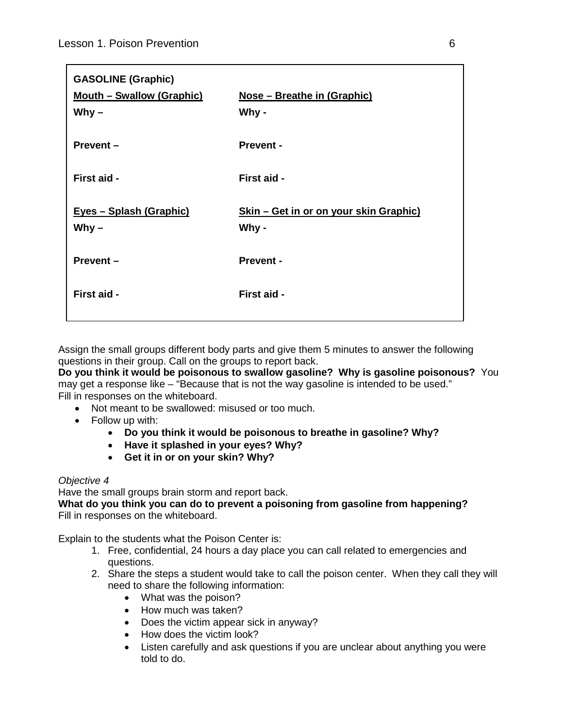| <b>GASOLINE (Graphic)</b><br><b>Mouth - Swallow (Graphic)</b><br>Why $-$ | Nose - Breathe in (Graphic)<br>Why -            |
|--------------------------------------------------------------------------|-------------------------------------------------|
| $Prevent -$                                                              | <b>Prevent -</b>                                |
| First aid -                                                              | First aid -                                     |
| Eyes - Splash (Graphic)<br>Why $-$                                       | Skin - Get in or on your skin Graphic)<br>Why - |
| Prevent-                                                                 | <b>Prevent -</b>                                |
| First aid -                                                              | First aid -                                     |
|                                                                          |                                                 |

Assign the small groups different body parts and give them 5 minutes to answer the following questions in their group. Call on the groups to report back.

**Do you think it would be poisonous to swallow gasoline? Why is gasoline poisonous?** You may get a response like – "Because that is not the way gasoline is intended to be used." Fill in responses on the whiteboard.

- Not meant to be swallowed: misused or too much.
- Follow up with:
	- **Do you think it would be poisonous to breathe in gasoline? Why?**
	- **Have it splashed in your eyes? Why?**
	- **Get it in or on your skin? Why?**

#### *Objective 4*

Have the small groups brain storm and report back.

**What do you think you can do to prevent a poisoning from gasoline from happening?** Fill in responses on the whiteboard.

Explain to the students what the Poison Center is:

- 1. Free, confidential, 24 hours a day place you can call related to emergencies and questions.
- 2. Share the steps a student would take to call the poison center. When they call they will need to share the following information:
	- What was the poison?
	- How much was taken?
	- Does the victim appear sick in anyway?
	- How does the victim look?
	- Listen carefully and ask questions if you are unclear about anything you were told to do.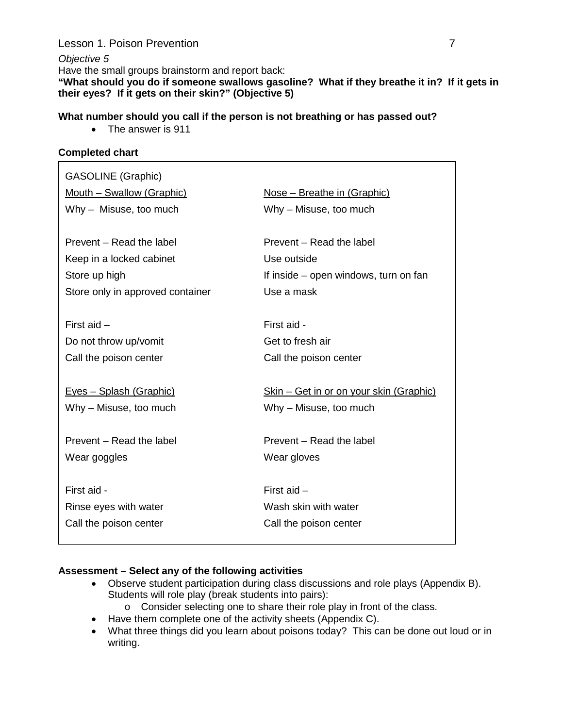#### **Lesson 1. Poison Prevention 7 and 7 and 7 and 7 and 7 and 7 and 7 and 7 and 7 and 7 and 7 and 7 and 7 and 7 and 7 and 7 and 7 and 7 and 7 and 7 and 7 and 7 and 7 and 7 and 7 and 7 and 7 and 7 and 7 and 7 and 7 and 7 and 7**

*Objective 5* Have the small groups brainstorm and report back: **"What should you do if someone swallows gasoline? What if they breathe it in? If it gets in their eyes? If it gets on their skin?" (Objective 5)**

#### **What number should you call if the person is not breathing or has passed out?**

• The answer is 911

#### **Completed chart**

| <b>GASOLINE</b> (Graphic)        |                                                 |  |
|----------------------------------|-------------------------------------------------|--|
| Mouth - Swallow (Graphic)        | <u> Nose – Breathe in (Graphic)</u>             |  |
| Why - Misuse, too much           | Why - Misuse, too much                          |  |
|                                  |                                                 |  |
| Prevent – Read the label         | Prevent – Read the label                        |  |
| Keep in a locked cabinet         | Use outside                                     |  |
| Store up high                    | If inside – open windows, turn on fan           |  |
| Store only in approved container | Use a mask                                      |  |
|                                  |                                                 |  |
| First aid $-$                    | First aid -                                     |  |
| Do not throw up/vomit            | Get to fresh air                                |  |
| Call the poison center           | Call the poison center                          |  |
|                                  |                                                 |  |
| <u> Eyes – Splash (Graphic)</u>  | <u> Skin – Get in or on your skin (Graphic)</u> |  |
| Why - Misuse, too much           | Why - Misuse, too much                          |  |
|                                  |                                                 |  |
| Prevent - Read the label         | Prevent – Read the label                        |  |
| Wear goggles                     | Wear gloves                                     |  |
|                                  |                                                 |  |
| First aid -                      | First aid $-$                                   |  |
| Rinse eyes with water            | Wash skin with water                            |  |
| Call the poison center           | Call the poison center                          |  |
|                                  |                                                 |  |

#### **Assessment – Select any of the following activities**

- Observe student participation during class discussions and role plays (Appendix B). Students will role play (break students into pairs):
	- o Consider selecting one to share their role play in front of the class.
- Have them complete one of the activity sheets (Appendix C).
- What three things did you learn about poisons today? This can be done out loud or in writing.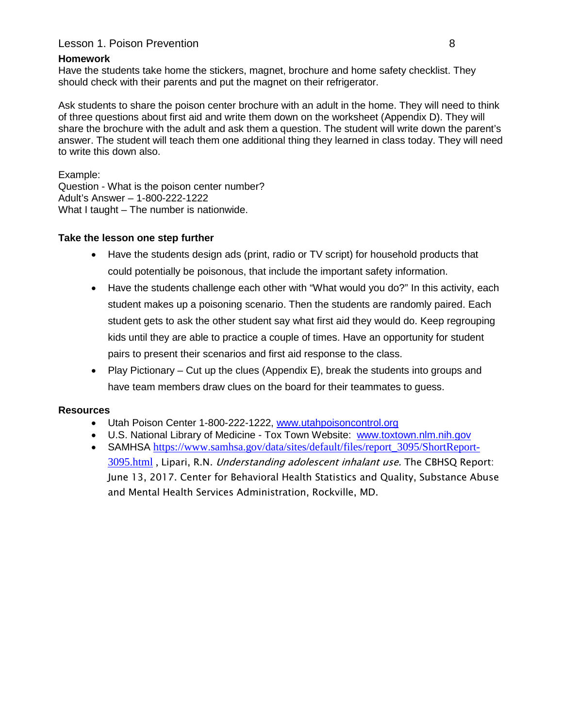#### Lesson 1. Poison Prevention 8

#### **Homework**

Have the students take home the stickers, magnet, brochure and home safety checklist. They should check with their parents and put the magnet on their refrigerator.

Ask students to share the poison center brochure with an adult in the home. They will need to think of three questions about first aid and write them down on the worksheet (Appendix D). They will share the brochure with the adult and ask them a question. The student will write down the parent's answer. The student will teach them one additional thing they learned in class today. They will need to write this down also.

Example: Question - What is the poison center number? Adult's Answer – 1-800-222-1222 What I taught – The number is nationwide.

#### **Take the lesson one step further**

- Have the students design ads (print, radio or TV script) for household products that could potentially be poisonous, that include the important safety information.
- Have the students challenge each other with "What would you do?" In this activity, each student makes up a poisoning scenario. Then the students are randomly paired. Each student gets to ask the other student say what first aid they would do. Keep regrouping kids until they are able to practice a couple of times. Have an opportunity for student pairs to present their scenarios and first aid response to the class.
- Play Pictionary Cut up the clues (Appendix E), break the students into groups and have team members draw clues on the board for their teammates to guess.

#### **Resources**

- Utah Poison Center 1-800-222-1222, [www.utahpoisoncontrol.org](http://www.utahpoisoncontrol.org/)
- U.S. National Library of Medicine Tox Town Website: [www.toxtown.nlm.nih.gov](http://www.toxtown.nlm.nih.gov/)
- SAMHSA [https://www.samhsa.gov/data/sites/default/files/report\\_3095/ShortReport-](https://www.samhsa.gov/data/sites/default/files/report_3095/ShortReport-3095.html)[3095.html](https://www.samhsa.gov/data/sites/default/files/report_3095/ShortReport-3095.html), Lipari, R.N. Understanding adolescent inhalant use. The CBHSQ Report: June 13, 2017. Center for Behavioral Health Statistics and Quality, Substance Abuse and Mental Health Services Administration, Rockville, MD.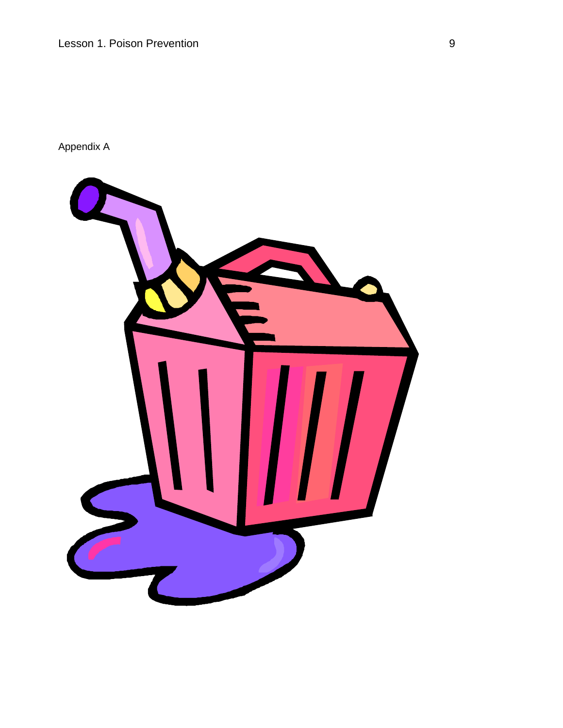Appendix A

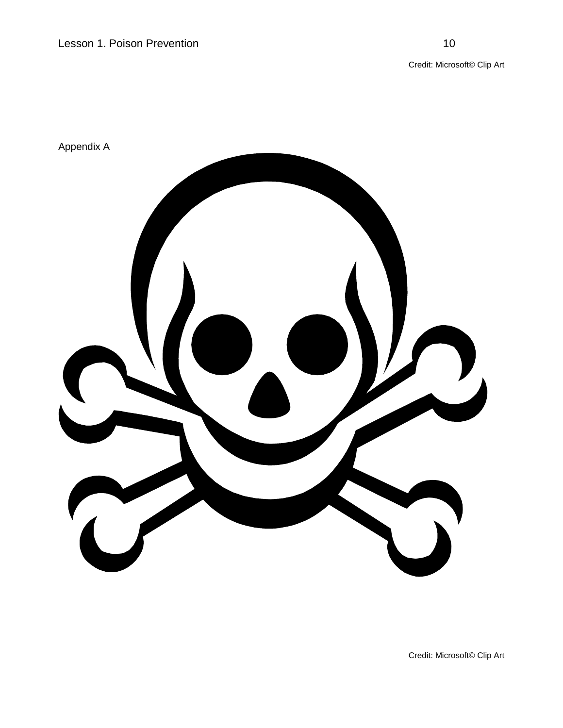Credit: Microsoft© Clip Art



Credit: Microsoft© Clip Art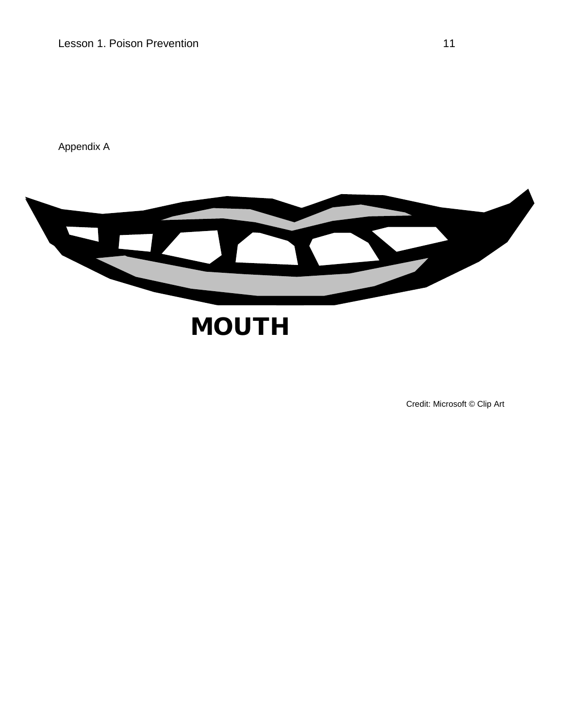Appendix A



# **MOUTH**

Credit: Microsoft © Clip Art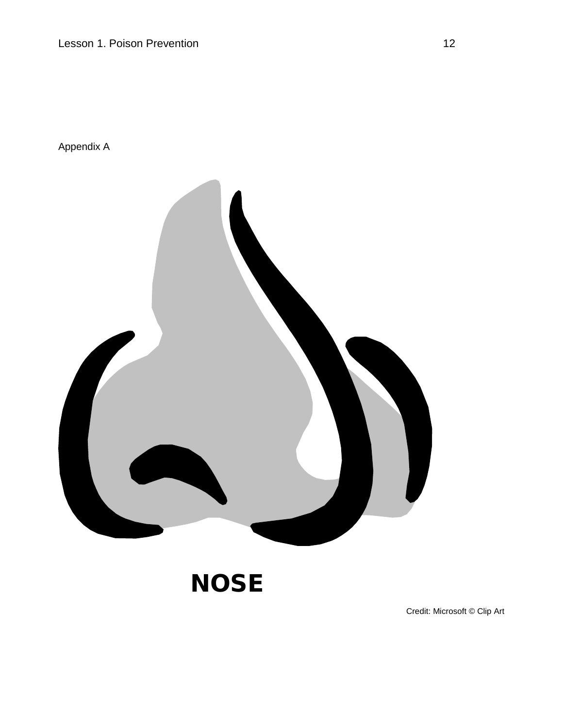Appendix A



**NOSE** 

Credit: Microsoft © Clip Art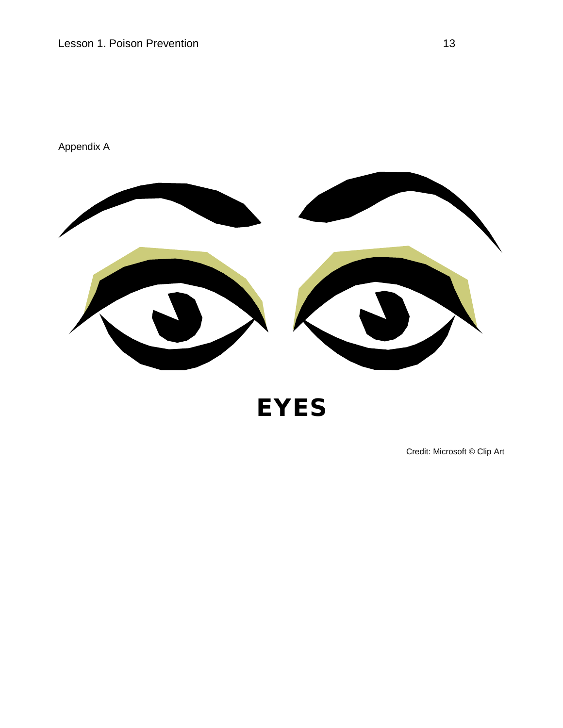

EYES

Credit: Microsoft © Clip Art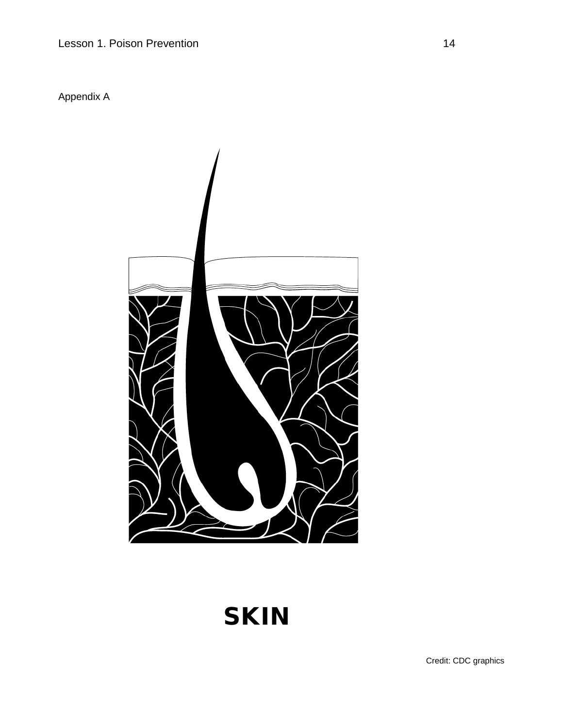Appendix A



# **SKIN**

Credit: CDC graphics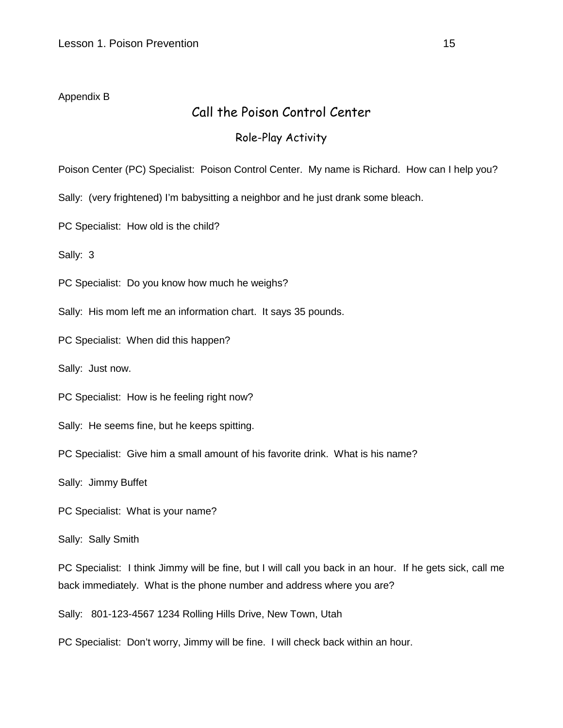#### Appendix B

### Call the Poison Control Center

#### Role-Play Activity

Poison Center (PC) Specialist: Poison Control Center. My name is Richard. How can I help you?

Sally: (very frightened) I'm babysitting a neighbor and he just drank some bleach.

PC Specialist: How old is the child?

Sally: 3

PC Specialist: Do you know how much he weighs?

Sally: His mom left me an information chart. It says 35 pounds.

PC Specialist: When did this happen?

Sally: Just now.

PC Specialist: How is he feeling right now?

Sally: He seems fine, but he keeps spitting.

PC Specialist: Give him a small amount of his favorite drink. What is his name?

Sally: Jimmy Buffet

PC Specialist: What is your name?

Sally: Sally Smith

PC Specialist: I think Jimmy will be fine, but I will call you back in an hour. If he gets sick, call me back immediately. What is the phone number and address where you are?

Sally: 801-123-4567 1234 Rolling Hills Drive, New Town, Utah

PC Specialist: Don't worry, Jimmy will be fine. I will check back within an hour.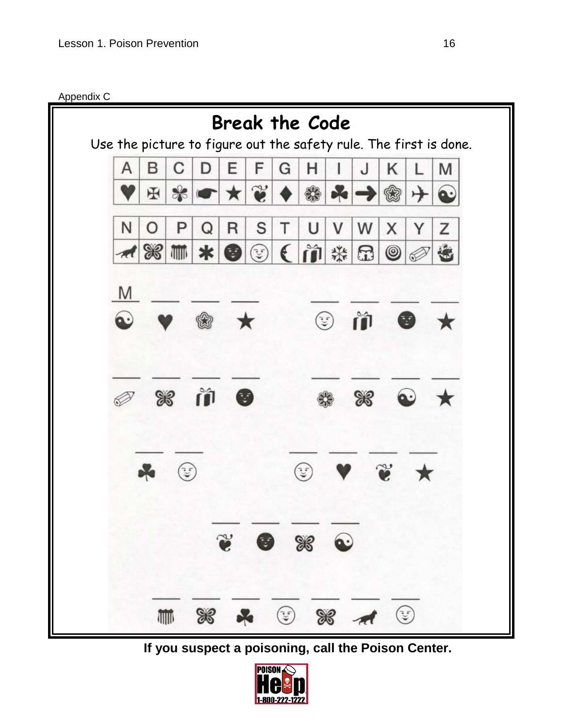Appendix C



**If you suspect a poisoning, call the Poison Center.**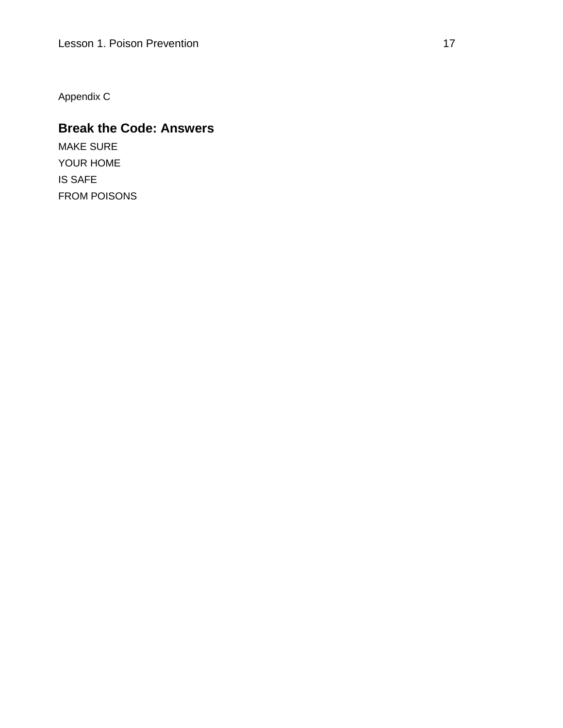Appendix C

# **Break the Code: Answers**

MAKE SURE YOUR HOME IS SAFE FROM POISONS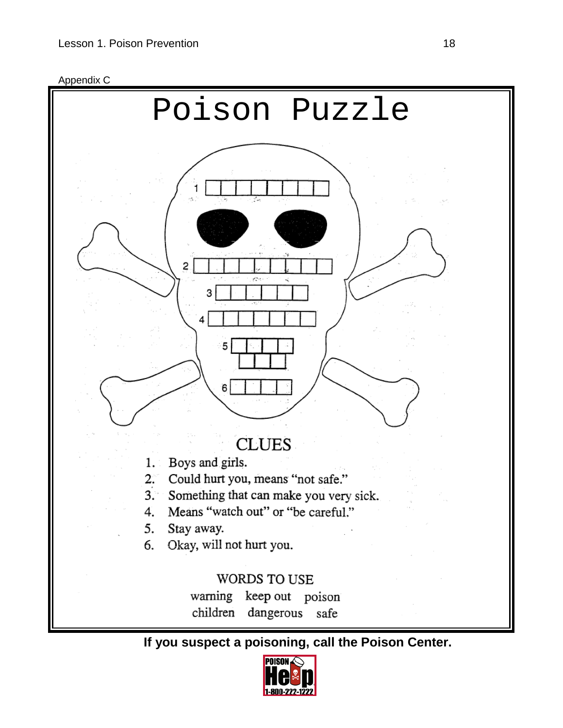



**If you suspect a poisoning, call the Poison Center.**

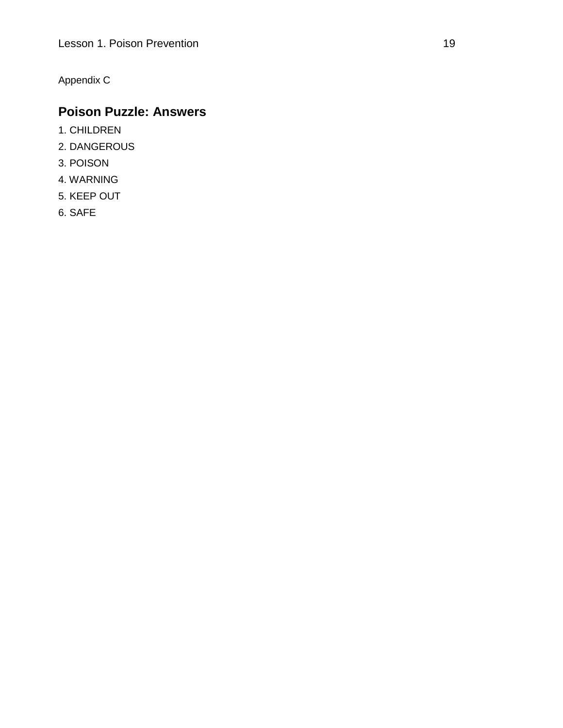Appendix C

## **Poison Puzzle: Answers**

- 1. CHILDREN
- 2. DANGEROUS
- 3. POISON
- 4. WARNING
- 5. KEEP OUT
- 6. SAFE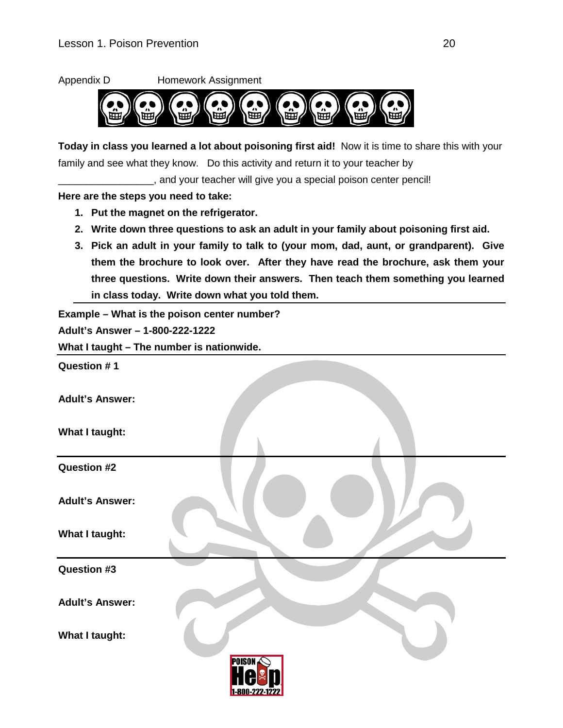

**3. Pick an adult in your family to talk to (your mom, dad, aunt, or grandparent). Give them the brochure to look over. After they have read the brochure, ask them your three questions. Write down their answers. Then teach them something you learned in class today. Write down what you told them.** 

**Example – What is the poison center number?**

**Adult's Answer – 1-800-222-1222**

**What I taught – The number is nationwide.**

**Question # 1**

**Adult's Answer:**

**What I taught:**

**Question #2**

**Adult's Answer:**

**What I taught:** 

**Question #3**

**Adult's Answer:**

**What I taught:**

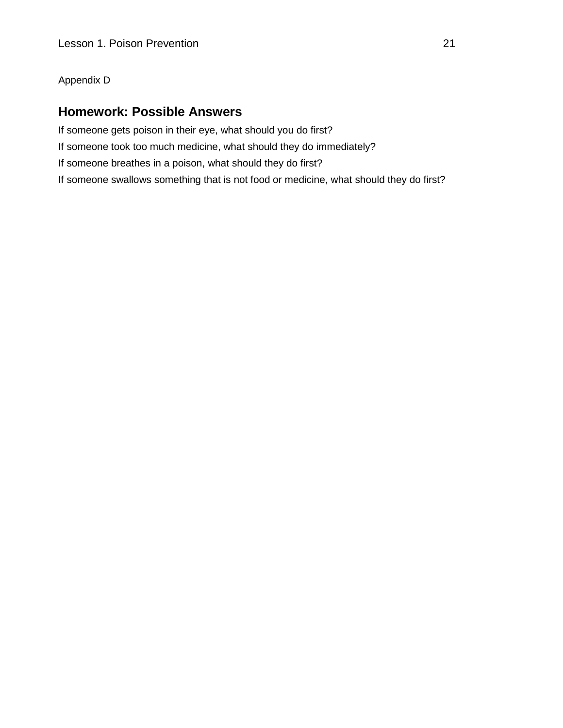#### Appendix D

#### **Homework: Possible Answers**

If someone gets poison in their eye, what should you do first? If someone took too much medicine, what should they do immediately? If someone breathes in a poison, what should they do first? If someone swallows something that is not food or medicine, what should they do first?